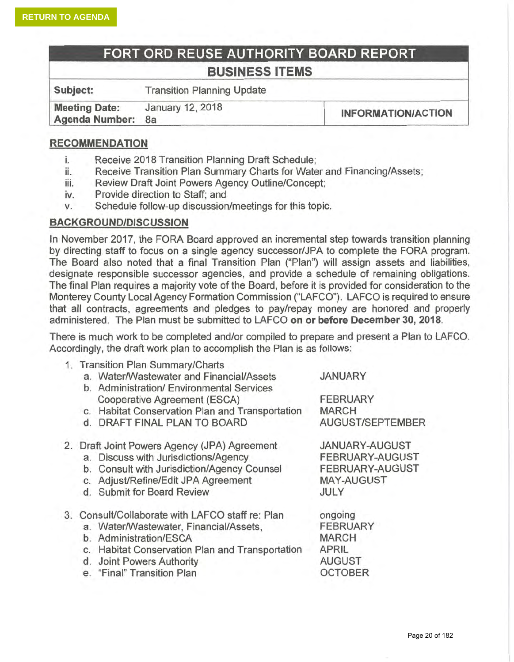1

# FORT ORD REUSE AUTHORITY BOARD REPORT **BUSINESS ITEMS**

Subject: **Transition Planning Update** January 12, 2018 **Meeting Date:** 

**INFORMATION/ACTION** 

#### **RECOMMENDATION**

**Agenda Number:** 

- i. Receive 2018 Transition Planning Draft Schedule;
- Receive Transition Plan Summary Charts for Water and Financing/Assets; ii.
- Review Draft Joint Powers Agency Outline/Concept; iii.
- Provide direction to Staff: and iv.

 $8a$ 

Schedule follow-up discussion/meetings for this topic. V.

#### **BACKGROUND/DISCUSSION**

In November 2017, the FORA Board approved an incremental step towards transition planning by directing staff to focus on a single agency successor/JPA to complete the FORA program. The Board also noted that a final Transition Plan ("Plan") will assign assets and liabilities, designate responsible successor agencies, and provide a schedule of remaining obligations. The final Plan requires a majority vote of the Board, before it is provided for consideration to the Monterey County Local Agency Formation Commission ("LAFCO"). LAFCO is required to ensure that all contracts, agreements and pledges to pay/repay money are honored and properly administered. The Plan must be submitted to LAFCO on or before December 30, 2018.

There is much work to be completed and/or compiled to prepare and present a Plan to LAFCO. Accordingly, the draft work plan to accomplish the Plan is as follows:

|  | 1. Transition Plan Summary/Charts                |                        |  |  |  |  |
|--|--------------------------------------------------|------------------------|--|--|--|--|
|  | a. Water/Wastewater and Financial/Assets         | <b>JANUARY</b>         |  |  |  |  |
|  | b. Administration/ Environmental Services        |                        |  |  |  |  |
|  | Cooperative Agreement (ESCA)                     | <b>FEBRUARY</b>        |  |  |  |  |
|  | c. Habitat Conservation Plan and Transportation  | <b>MARCH</b>           |  |  |  |  |
|  | d. DRAFT FINAL PLAN TO BOARD                     | AUGUST/SEPTEMBER       |  |  |  |  |
|  | 2. Draft Joint Powers Agency (JPA) Agreement     | <b>JANUARY-AUGUST</b>  |  |  |  |  |
|  | a. Discuss with Jurisdictions/Agency             | <b>FEBRUARY-AUGUST</b> |  |  |  |  |
|  | b. Consult with Jurisdiction/Agency Counsel      | <b>FEBRUARY-AUGUST</b> |  |  |  |  |
|  | c. Adjust/Refine/Edit JPA Agreement              | <b>MAY-AUGUST</b>      |  |  |  |  |
|  | d. Submit for Board Review                       | JULY                   |  |  |  |  |
|  | 3. Consult/Collaborate with LAFCO staff re: Plan | ongoing                |  |  |  |  |
|  | a. Water/Wastewater, Financial/Assets,           | <b>FEBRUARY</b>        |  |  |  |  |
|  | b. Administration/ESCA                           | <b>MARCH</b>           |  |  |  |  |
|  | c. Habitat Conservation Plan and Transportation  | <b>APRIL</b>           |  |  |  |  |
|  | d. Joint Powers Authority                        | <b>AUGUST</b>          |  |  |  |  |
|  | e. "Final" Transition Plan                       | <b>OCTOBER</b>         |  |  |  |  |
|  |                                                  |                        |  |  |  |  |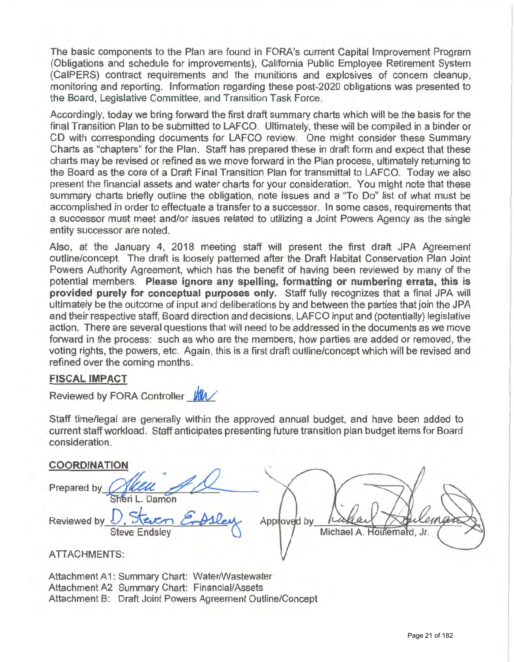The basic components to the Plan are found in FORA's current Capital Improvement Program (Obligations and schedule for improvements), California Public Employee Retirement System (CalPERS) contract requirements and the munitions and explosives of concern cleanup. monitoring and reporting. Information regarding these post-2020 obligations was presented to the Board, Legislative Committee, and Transition Task Force.

Accordingly, today we bring forward the first draft summary charts which will be the basis for the final Transition Plan to be submitted to LAFCO. Ultimately, these will be compiled in a binder or CD with corresponding documents for LAFCO review. One might consider these Summary Charts as "chapters" for the Plan. Staff has prepared these in draft form and expect that these charts may be revised or refined as we move forward in the Plan process, ultimately returning to the Board as the core of a Draft Final Transition Plan for transmittal to LAFCO. Today we also present the financial assets and water charts for your consideration. You might note that these summary charts briefly outline the obligation, note issues and a "To Do" list of what must be accomplished in order to effectuate a transfer to a successor. In some cases, requirements that a successor must meet and/or issues related to utilizing a Joint Powers Agency as the single entity successor are noted.

Also, at the January 4, 2018 meeting staff will present the first draft JPA Agreement outline/concept. The draft is loosely patterned after the Draft Habitat Conservation Plan Joint Powers Authority Agreement, which has the benefit of having been reviewed by many of the potential members. Please ignore any spelling, formatting or numbering errata, this is provided purely for conceptual purposes only. Staff fully recognizes that a final JPA will ultimately be the outcome of input and deliberations by and between the parties that join the JPA and their respective staff, Board direction and decisions, LAFCO input and (potentially) legislative action. There are several questions that will need to be addressed in the documents as we move forward in the process: such as who are the members, how parties are added or removed, the voting rights, the powers, etc. Again, this is a first draft outline/concept which will be revised and refined over the coming months.

#### **FISCAL IMPACT**

Reviewed by FORA Controller WW

Staff time/legal are generally within the approved annual budget, and have been added to current staff workload. Staff anticipates presenting future transition plan budget items for Board consideration

#### COORDINATION

| Prepared by                  |                           |
|------------------------------|---------------------------|
| Damon                        |                           |
| Reviewed by U. Steven Empley |                           |
| <b>Steve Endsley</b>         | Michael A. Houlemard, Jr. |
| ATTAQUALTAITO.               |                           |

ATTACHMENTS:

Attachment A1: Summary Chart: Water/Wastewater Attachment A2 Summary Chart: Financial/Assets Attachment B: Draft Joint Powers Agreement Outline/Concept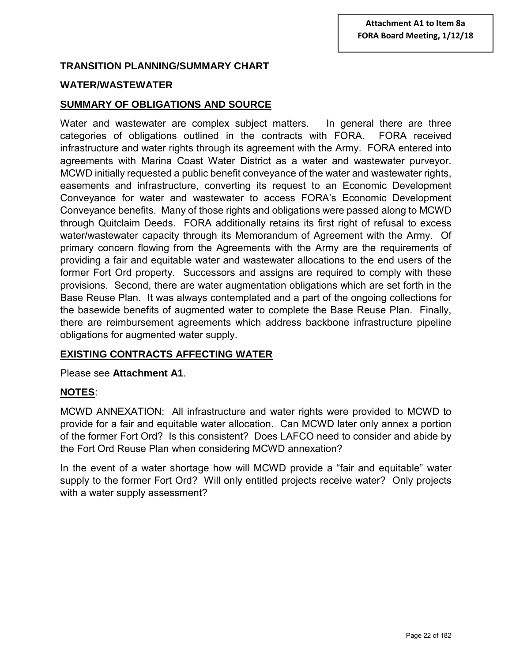### **TRANSITION PLANNING/SUMMARY CHART**

#### **WATER/WASTEWATER**

#### **SUMMARY OF OBLIGATIONS AND SOURCE**

Water and wastewater are complex subject matters. In general there are three categories of obligations outlined in the contracts with FORA. FORA received infrastructure and water rights through its agreement with the Army. FORA entered into agreements with Marina Coast Water District as a water and wastewater purveyor. MCWD initially requested a public benefit conveyance of the water and wastewater rights, easements and infrastructure, converting its request to an Economic Development Conveyance for water and wastewater to access FORA's Economic Development Conveyance benefits. Many of those rights and obligations were passed along to MCWD through Quitclaim Deeds. FORA additionally retains its first right of refusal to excess water/wastewater capacity through its Memorandum of Agreement with the Army. Of primary concern flowing from the Agreements with the Army are the requirements of providing a fair and equitable water and wastewater allocations to the end users of the former Fort Ord property. Successors and assigns are required to comply with these provisions. Second, there are water augmentation obligations which are set forth in the Base Reuse Plan. It was always contemplated and a part of the ongoing collections for the basewide benefits of augmented water to complete the Base Reuse Plan. Finally, there are reimbursement agreements which address backbone infrastructure pipeline obligations for augmented water supply.

#### **EXISTING CONTRACTS AFFECTING WATER**

#### Please see **Attachment A1**.

#### **NOTES**:

MCWD ANNEXATION: All infrastructure and water rights were provided to MCWD to provide for a fair and equitable water allocation. Can MCWD later only annex a portion of the former Fort Ord? Is this consistent? Does LAFCO need to consider and abide by the Fort Ord Reuse Plan when considering MCWD annexation?

In the event of a water shortage how will MCWD provide a "fair and equitable" water supply to the former Fort Ord? Will only entitled projects receive water? Only projects with a water supply assessment?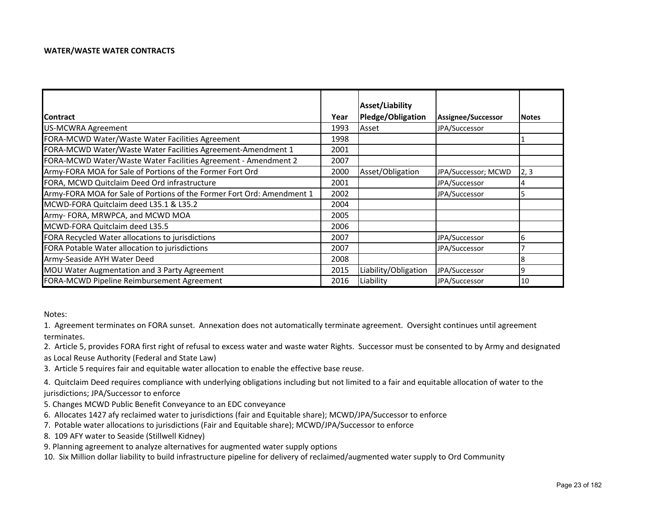#### **WATER/WASTE WATER CONTRACTS**

|                                                                        |      | Asset/Liability      |                     |              |
|------------------------------------------------------------------------|------|----------------------|---------------------|--------------|
| <b>Contract</b>                                                        | Year | Pledge/Obligation    | Assignee/Successor  | <b>Notes</b> |
| US-MCWRA Agreement                                                     | 1993 | Asset                | JPA/Successor       |              |
| FORA-MCWD Water/Waste Water Facilities Agreement                       | 1998 |                      |                     |              |
| FORA-MCWD Water/Waste Water Facilities Agreement-Amendment 1           | 2001 |                      |                     |              |
| FORA-MCWD Water/Waste Water Facilities Agreement - Amendment 2         | 2007 |                      |                     |              |
| Army-FORA MOA for Sale of Portions of the Former Fort Ord              | 2000 | Asset/Obligation     | JPA/Successor; MCWD | 2, 3         |
| FORA, MCWD Quitclaim Deed Ord infrastructure                           | 2001 |                      | JPA/Successor       |              |
| Army-FORA MOA for Sale of Portions of the Former Fort Ord: Amendment 1 | 2002 |                      | JPA/Successor       |              |
| MCWD-FORA Quitclaim deed L35.1 & L35.2                                 | 2004 |                      |                     |              |
| Army- FORA, MRWPCA, and MCWD MOA                                       | 2005 |                      |                     |              |
| MCWD-FORA Quitclaim deed L35.5                                         | 2006 |                      |                     |              |
| FORA Recycled Water allocations to jurisdictions                       | 2007 |                      | JPA/Successor       | b            |
| FORA Potable Water allocation to jurisdictions                         | 2007 |                      | JPA/Successor       |              |
| Army-Seaside AYH Water Deed                                            | 2008 |                      |                     |              |
| MOU Water Augmentation and 3 Party Agreement                           | 2015 | Liability/Obligation | JPA/Successor       | 19           |
| FORA-MCWD Pipeline Reimbursement Agreement                             | 2016 | Liability            | JPA/Successor       | 10           |

Notes:

1. Agreement terminates on FORA sunset. Annexation does not automatically terminate agreement. Oversight continues until agreement terminates.

2. Article 5, provides FORA first right of refusal to excess water and waste water Rights. Successor must be consented to by Army and designated

as Local Reuse Authority (Federal and State Law)

3. Article 5 requires fair and equitable water allocation to enable the effective base reuse.

4. Quitclaim Deed requires compliance with underlying obligations including but not limited to <sup>a</sup> fair and equitable allocation of water to the jurisdictions; JPA/Successor to enforce

- 5. Changes MCWD Public Benefit Conveyance to an EDC conveyance
- 6. Allocates 1427 afy reclaimed water to jurisdictions (fair and Equitable share); MCWD/JPA/Successor to enforce
- 7. Potable water allocations to jurisdictions (Fair and Equitable share); MCWD/JPA/Successor to enforce
- 8. 109 AFY water to Seaside (Stillwell Kidney)
- 9. Planning agreement to analyze alternatives for augmented water supply options

10. Six Million dollar liability to build infrastructure pipeline for delivery of reclaimed/augmented water supply to Ord Community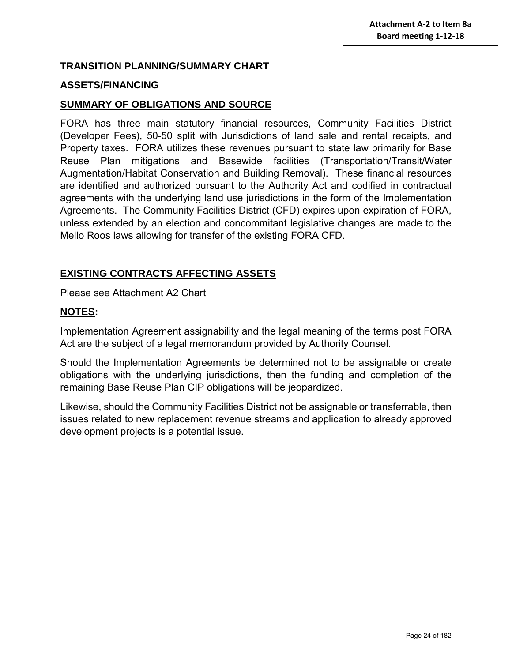#### **TRANSITION PLANNING/SUMMARY CHART**

#### **ASSETS/FINANCING**

#### **SUMMARY OF OBLIGATIONS AND SOURCE**

FORA has three main statutory financial resources, Community Facilities District (Developer Fees), 50-50 split with Jurisdictions of land sale and rental receipts, and Property taxes. FORA utilizes these revenues pursuant to state law primarily for Base Reuse Plan mitigations and Basewide facilities (Transportation/Transit/Water Augmentation/Habitat Conservation and Building Removal). These financial resources are identified and authorized pursuant to the Authority Act and codified in contractual agreements with the underlying land use jurisdictions in the form of the Implementation Agreements. The Community Facilities District (CFD) expires upon expiration of FORA, unless extended by an election and concommitant legislative changes are made to the Mello Roos laws allowing for transfer of the existing FORA CFD.

#### **EXISTING CONTRACTS AFFECTING ASSETS**

Please see Attachment A2 Chart

#### **NOTES:**

Implementation Agreement assignability and the legal meaning of the terms post FORA Act are the subject of a legal memorandum provided by Authority Counsel.

Should the Implementation Agreements be determined not to be assignable or create obligations with the underlying jurisdictions, then the funding and completion of the remaining Base Reuse Plan CIP obligations will be jeopardized.

Likewise, should the Community Facilities District not be assignable or transferrable, then issues related to new replacement revenue streams and application to already approved development projects is a potential issue.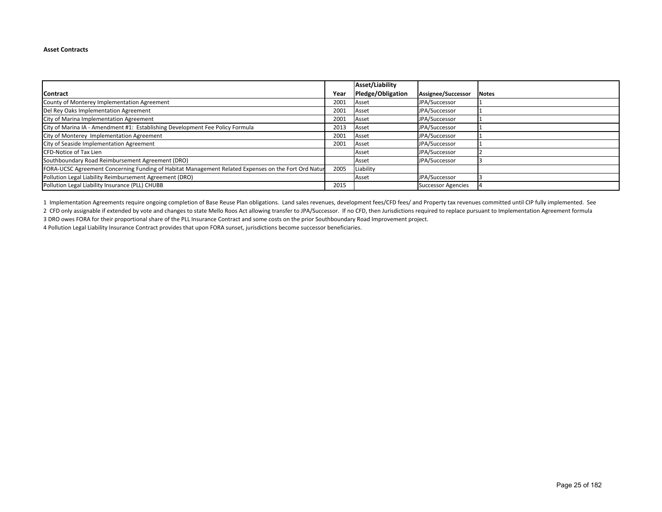#### **Asset Contracts**

|                                                                                                     |      | Asset/Liability   |                           |              |
|-----------------------------------------------------------------------------------------------------|------|-------------------|---------------------------|--------------|
| <b>Contract</b>                                                                                     | Year | Pledge/Obligation | Assignee/Successor        | <b>Notes</b> |
| County of Monterey Implementation Agreement                                                         | 2001 | Asset             | JPA/Successor             |              |
| Del Rey Oaks Implementation Agreement                                                               | 2001 | Asset             | JPA/Successor             |              |
| City of Marina Implementation Agreement                                                             | 2001 | Asset             | JPA/Successor             |              |
| City of Marina IA - Amendment #1: Establishing Development Fee Policy Formula                       | 2013 | Asset             | JPA/Successor             |              |
| City of Monterey Implementation Agreement                                                           | 2001 | Asset             | JPA/Successor             |              |
| City of Seaside Implementation Agreement                                                            | 2001 | Asset             | JPA/Successor             |              |
| <b>CFD-Notice of Tax Lien</b>                                                                       |      | Asset             | JPA/Successor             |              |
| Southboundary Road Reimbursement Agreement (DRO)                                                    |      | Asset             | JPA/Successor             |              |
| FORA-UCSC Agreement Concerning Funding of Habitat Management Related Expenses on the Fort Ord Natur | 2005 | Liability         |                           |              |
| Pollution Legal Liability Reimbursement Agreement (DRO)                                             |      | Asset             | JPA/Successor             |              |
| Pollution Legal Liability Insurance (PLL) CHUBB                                                     | 2015 |                   | <b>Successor Agencies</b> |              |

2 CFD only assignable if extended by vote and changes to state Mello Roos Act allowing transfer to JPA/Successor. If no CFD, then Jurisdictions required to replace pursuant to Implementation Agreement formula 1 Implementation Agreements require ongoing completion of Base Reuse Plan obligations. Land sales revenues, development fees/CFD fees/ and Property tax revenues committed until CIP fully implemented. See

3 DRO owes FORA for their proportional share of the PLL Insurance Contract and some costs on the prior Southboundary Road Improvement project.

4 Pollution Legal Liability Insurance Contract provides that upon FORA sunset, jurisdictions become successor beneficiaries.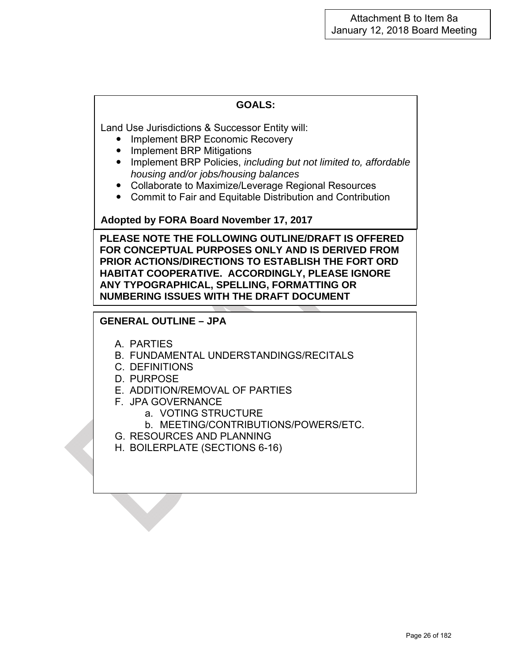Land Use Jurisdictions & Successor Entity will:

- Implement BRP Economic Recovery
- Implement BRP Mitigations
- Implement BRP Policies, *including but not limited to, affordable housing and/or jobs/housing balances*
- Collaborate to Maximize/Leverage Regional Resources
- Commit to Fair and Equitable Distribution and Contribution

**Adopted by FORA Board November 17, 2017** 

**PLEASE NOTE THE FOLLOWING OUTLINE/DRAFT IS OFFERED FOR CONCEPTUAL PURPOSES ONLY AND IS DERIVED FROM PRIOR ACTIONS/DIRECTIONS TO ESTABLISH THE FORT ORD HABITAT COOPERATIVE. ACCORDINGLY, PLEASE IGNORE ANY TYPOGRAPHICAL, SPELLING, FORMATTING OR NUMBERING ISSUES WITH THE DRAFT DOCUMENT** 

#### **GENERAL OUTLINE – JPA**

- A. PARTIES
- B. FUNDAMENTAL UNDERSTANDINGS/RECITALS
- C. DEFINITIONS
- D. PURPOSE
- E. ADDITION/REMOVAL OF PARTIES
- F. JPA GOVERNANCE
	- a. VOTING STRUCTURE
		- b. MEETING/CONTRIBUTIONS/POWERS/ETC.
- G. RESOURCES AND PLANNING
- H. BOILERPLATE (SECTIONS 6-16)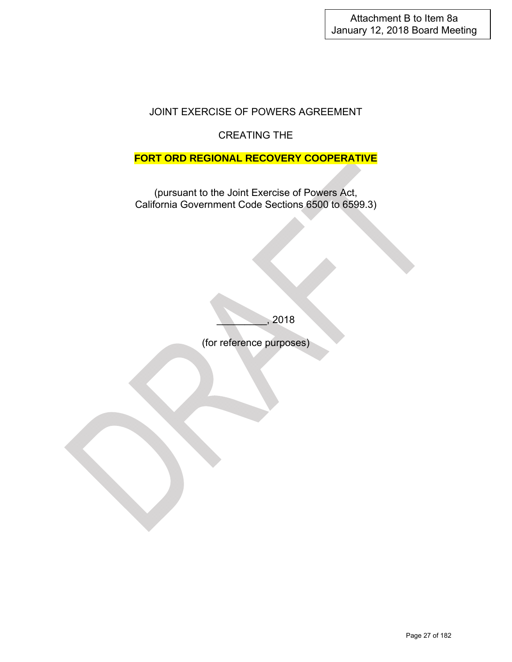## JOINT EXERCISE OF POWERS AGREEMENT

## CREATING THE

### **FORT ORD REGIONAL RECOVERY COOPERATIVE**

(pursuant to the Joint Exercise of Powers Act, California Government Code Sections 6500 to 6599.3)

\_\_\_\_\_\_\_\_\_, 2018

(for reference purposes)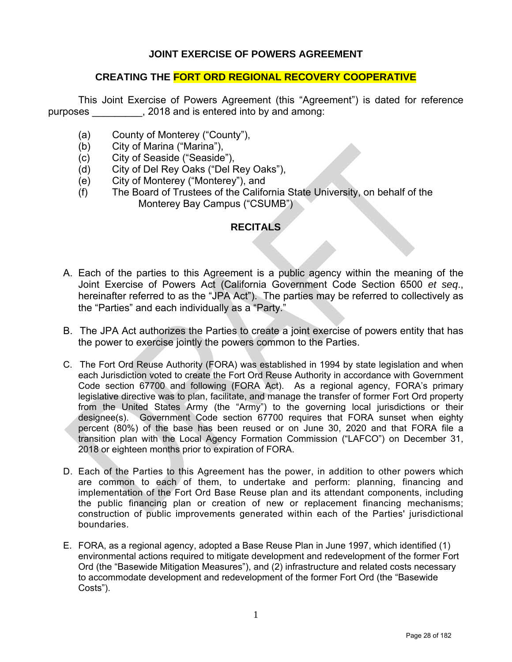#### **JOINT EXERCISE OF POWERS AGREEMENT**

#### **CREATING THE FORT ORD REGIONAL RECOVERY COOPERATIVE**

This Joint Exercise of Powers Agreement (this "Agreement") is dated for reference purposes \_\_\_\_\_\_\_\_\_, 2018 and is entered into by and among:

- (a) County of Monterey ("County"),
- (b) City of Marina ("Marina"),
- (c) City of Seaside ("Seaside"),
- (d) City of Del Rey Oaks ("Del Rey Oaks"),
- (e) City of Monterey ("Monterey"), and
- (f) The Board of Trustees of the California State University, on behalf of the Monterey Bay Campus ("CSUMB")

#### **RECITALS**

- A. Each of the parties to this Agreement is a public agency within the meaning of the Joint Exercise of Powers Act (California Government Code Section 6500 *et seq*., hereinafter referred to as the "JPA Act"). The parties may be referred to collectively as the "Parties" and each individually as a "Party."
- B. The JPA Act authorizes the Parties to create a joint exercise of powers entity that has the power to exercise jointly the powers common to the Parties.
- C. The Fort Ord Reuse Authority (FORA) was established in 1994 by state legislation and when each Jurisdiction voted to create the Fort Ord Reuse Authority in accordance with Government Code section 67700 and following (FORA Act). As a regional agency, FORA's primary legislative directive was to plan, facilitate, and manage the transfer of former Fort Ord property from the United States Army (the "Army") to the governing local jurisdictions or their designee(s). Government Code section 67700 requires that FORA sunset when eighty percent (80%) of the base has been reused or on June 30, 2020 and that FORA file a transition plan with the Local Agency Formation Commission ("LAFCO") on December 31, 2018 or eighteen months prior to expiration of FORA.
- D. Each of the Parties to this Agreement has the power, in addition to other powers which are common to each of them, to undertake and perform: planning, financing and implementation of the Fort Ord Base Reuse plan and its attendant components, including the public financing plan or creation of new or replacement financing mechanisms; construction of public improvements generated within each of the Parties' jurisdictional boundaries.
- E. FORA, as a regional agency, adopted a Base Reuse Plan in June 1997, which identified (1) environmental actions required to mitigate development and redevelopment of the former Fort Ord (the "Basewide Mitigation Measures"), and (2) infrastructure and related costs necessary to accommodate development and redevelopment of the former Fort Ord (the "Basewide Costs").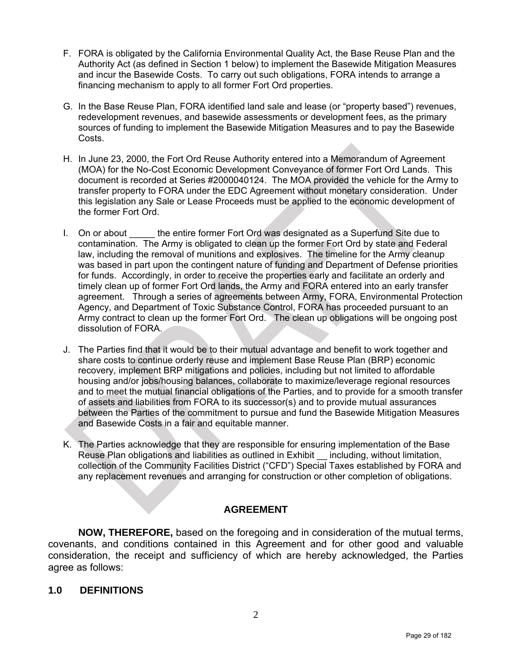- F. FORA is obligated by the California Environmental Quality Act, the Base Reuse Plan and the Authority Act (as defined in Section 1 below) to implement the Basewide Mitigation Measures and incur the Basewide Costs. To carry out such obligations, FORA intends to arrange a financing mechanism to apply to all former Fort Ord properties.
- G. In the Base Reuse Plan, FORA identified land sale and lease (or "property based") revenues, redevelopment revenues, and basewide assessments or development fees, as the primary sources of funding to implement the Basewide Mitigation Measures and to pay the Basewide Costs.
- H. In June 23, 2000, the Fort Ord Reuse Authority entered into a Memorandum of Agreement (MOA) for the No-Cost Economic Development Conveyance of former Fort Ord Lands. This document is recorded at Series #2000040124. The MOA provided the vehicle for the Army to transfer property to FORA under the EDC Agreement without monetary consideration. Under this legislation any Sale or Lease Proceeds must be applied to the economic development of the former Fort Ord.
- I. On or about the entire former Fort Ord was designated as a Superfund Site due to contamination. The Army is obligated to clean up the former Fort Ord by state and Federal law, including the removal of munitions and explosives. The timeline for the Army cleanup was based in part upon the contingent nature of funding and Department of Defense priorities for funds. Accordingly, in order to receive the properties early and facilitate an orderly and timely clean up of former Fort Ord lands, the Army and FORA entered into an early transfer agreement. Through a series of agreements between Army, FORA, Environmental Protection Agency, and Department of Toxic Substance Control, FORA has proceeded pursuant to an Army contract to clean up the former Fort Ord. The clean up obligations will be ongoing post dissolution of FORA.
- J. The Parties find that it would be to their mutual advantage and benefit to work together and share costs to continue orderly reuse and implement Base Reuse Plan (BRP) economic recovery, implement BRP mitigations and policies, including but not limited to affordable housing and/or jobs/housing balances, collaborate to maximize/leverage regional resources and to meet the mutual financial obligations of the Parties, and to provide for a smooth transfer of assets and liabilities from FORA to its successor(s) and to provide mutual assurances between the Parties of the commitment to pursue and fund the Basewide Mitigation Measures and Basewide Costs in a fair and equitable manner.
- K. The Parties acknowledge that they are responsible for ensuring implementation of the Base Reuse Plan obligations and liabilities as outlined in Exhibit \_\_ including, without limitation, collection of the Community Facilities District ("CFD") Special Taxes established by FORA and any replacement revenues and arranging for construction or other completion of obligations.

### **AGREEMENT**

**NOW, THEREFORE,** based on the foregoing and in consideration of the mutual terms, covenants, and conditions contained in this Agreement and for other good and valuable consideration, the receipt and sufficiency of which are hereby acknowledged, the Parties agree as follows:

### **1.0 DEFINITIONS**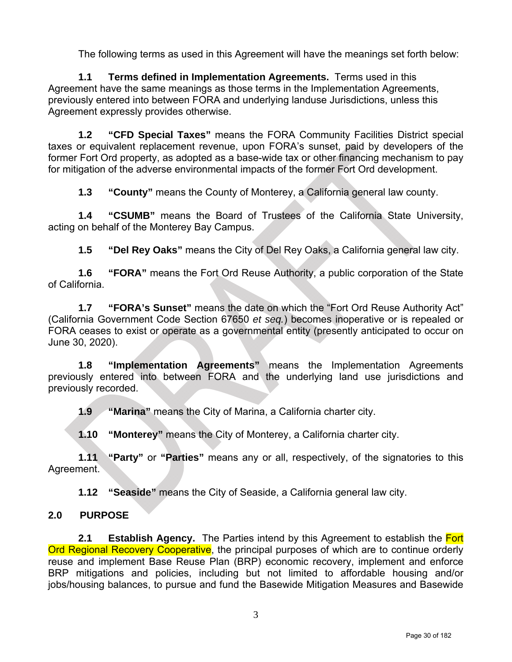The following terms as used in this Agreement will have the meanings set forth below:

**1.1 Terms defined in Implementation Agreements.** Terms used in this Agreement have the same meanings as those terms in the Implementation Agreements, previously entered into between FORA and underlying landuse Jurisdictions, unless this Agreement expressly provides otherwise.

**1.2 "CFD Special Taxes"** means the FORA Community Facilities District special taxes or equivalent replacement revenue, upon FORA's sunset, paid by developers of the former Fort Ord property, as adopted as a base-wide tax or other financing mechanism to pay for mitigation of the adverse environmental impacts of the former Fort Ord development.

**1.3 "County"** means the County of Monterey, a California general law county.

**1.4 "CSUMB"** means the Board of Trustees of the California State University, acting on behalf of the Monterey Bay Campus.

**1.5 "Del Rey Oaks"** means the City of Del Rey Oaks, a California general law city.

**1.6 "FORA"** means the Fort Ord Reuse Authority, a public corporation of the State of California.

**1.7 "FORA's Sunset"** means the date on which the "Fort Ord Reuse Authority Act" (California Government Code Section 67650 *et seq.*) becomes inoperative or is repealed or FORA ceases to exist or operate as a governmental entity (presently anticipated to occur on June 30, 2020).

**1.8 "Implementation Agreements"** means the Implementation Agreements previously entered into between FORA and the underlying land use jurisdictions and previously recorded.

**1.9 "Marina"** means the City of Marina, a California charter city.

**1.10 "Monterey"** means the City of Monterey, a California charter city.

**1.11 "Party"** or **"Parties"** means any or all, respectively, of the signatories to this Agreement.

**1.12 "Seaside"** means the City of Seaside, a California general law city.

### **2.0 PURPOSE**

**2.1 Establish Agency.** The Parties intend by this Agreement to establish the Fort Ord Regional Recovery Cooperative, the principal purposes of which are to continue orderly reuse and implement Base Reuse Plan (BRP) economic recovery, implement and enforce BRP mitigations and policies, including but not limited to affordable housing and/or jobs/housing balances, to pursue and fund the Basewide Mitigation Measures and Basewide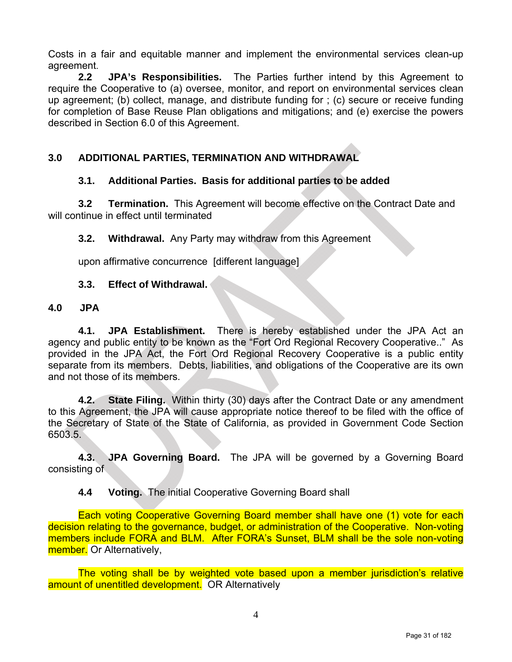Costs in a fair and equitable manner and implement the environmental services clean-up agreement.

**2.2 JPA's Responsibilities.** The Parties further intend by this Agreement to require the Cooperative to (a) oversee, monitor, and report on environmental services clean up agreement; (b) collect, manage, and distribute funding for ; (c) secure or receive funding for completion of Base Reuse Plan obligations and mitigations; and (e) exercise the powers described in Section 6.0 of this Agreement.

## **3.0 ADDITIONAL PARTIES, TERMINATION AND WITHDRAWAL**

### **3.1. Additional Parties. Basis for additional parties to be added**

**3.2 Termination.** This Agreement will become effective on the Contract Date and will continue in effect until terminated

**3.2. Withdrawal.** Any Party may withdraw from this Agreement

upon affirmative concurrence [different language]

#### **3.3. Effect of Withdrawal.**

#### **4.0 JPA**

**4.1. JPA Establishment.** There is hereby established under the JPA Act an agency and public entity to be known as the "Fort Ord Regional Recovery Cooperative.." As provided in the JPA Act, the Fort Ord Regional Recovery Cooperative is a public entity separate from its members. Debts, liabilities, and obligations of the Cooperative are its own and not those of its members.

**4.2. State Filing.** Within thirty (30) days after the Contract Date or any amendment to this Agreement, the JPA will cause appropriate notice thereof to be filed with the office of the Secretary of State of the State of California, as provided in Government Code Section 6503.5.

**4.3. JPA Governing Board.** The JPA will be governed by a Governing Board consisting of

**4.4 Voting.** The initial Cooperative Governing Board shall

Each voting Cooperative Governing Board member shall have one (1) vote for each decision relating to the governance, budget, or administration of the Cooperative. Non-voting members include FORA and BLM. After FORA's Sunset, BLM shall be the sole non-voting member. Or Alternatively,

The voting shall be by weighted vote based upon a member jurisdiction's relative amount of unentitled development. OR Alternatively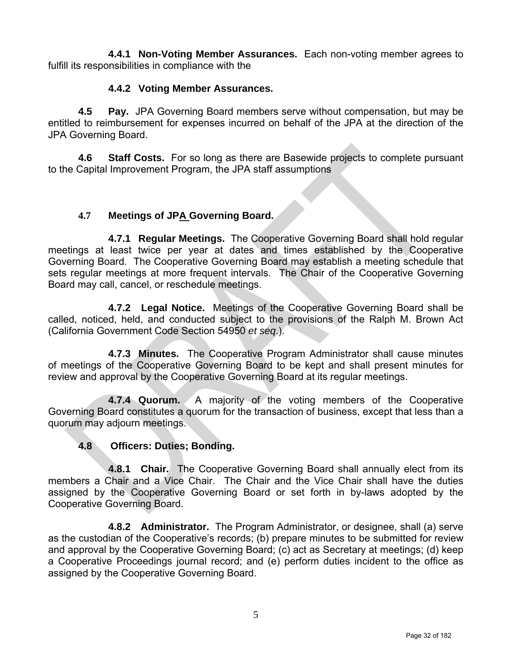**4.4.1 Non-Voting Member Assurances.** Each non-voting member agrees to fulfill its responsibilities in compliance with the

### **4.4.2 Voting Member Assurances.**

**4.5 Pay.** JPA Governing Board members serve without compensation, but may be entitled to reimbursement for expenses incurred on behalf of the JPA at the direction of the JPA Governing Board.

**4.6 Staff Costs.** For so long as there are Basewide projects to complete pursuant to the Capital Improvement Program, the JPA staff assumptions

### **4.7 Meetings of JPA Governing Board.**

**4.7.1 Regular Meetings.** The Cooperative Governing Board shall hold regular meetings at least twice per year at dates and times established by the Cooperative Governing Board. The Cooperative Governing Board may establish a meeting schedule that sets regular meetings at more frequent intervals. The Chair of the Cooperative Governing Board may call, cancel, or reschedule meetings.

**4.7.2 Legal Notice.** Meetings of the Cooperative Governing Board shall be called, noticed, held, and conducted subject to the provisions of the Ralph M. Brown Act (California Government Code Section 54950 *et seq*.).

**4.7.3 Minutes.** The Cooperative Program Administrator shall cause minutes of meetings of the Cooperative Governing Board to be kept and shall present minutes for review and approval by the Cooperative Governing Board at its regular meetings.

**4.7.4 Quorum.** A majority of the voting members of the Cooperative Governing Board constitutes a quorum for the transaction of business, except that less than a quorum may adjourn meetings.

#### **4.8 Officers: Duties; Bonding.**

**4.8.1 Chair***.* The Cooperative Governing Board shall annually elect from its members a Chair and a Vice Chair. The Chair and the Vice Chair shall have the duties assigned by the Cooperative Governing Board or set forth in by-laws adopted by the Cooperative Governing Board.

**4.8.2 Administrator.** The Program Administrator, or designee, shall (a) serve as the custodian of the Cooperative's records; (b) prepare minutes to be submitted for review and approval by the Cooperative Governing Board; (c) act as Secretary at meetings; (d) keep a Cooperative Proceedings journal record; and (e) perform duties incident to the office as assigned by the Cooperative Governing Board.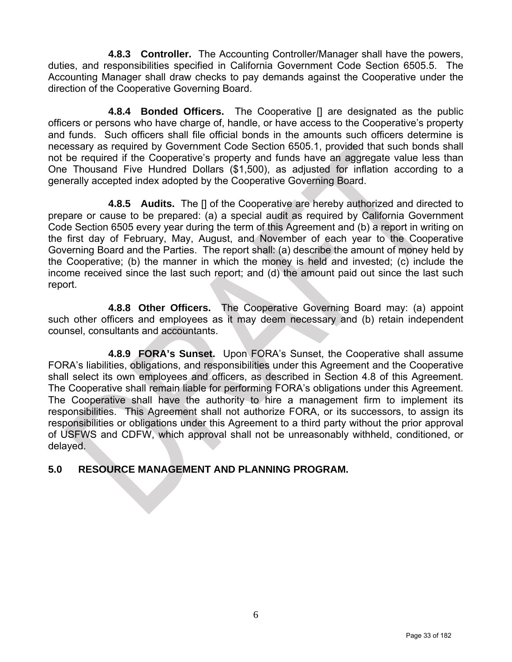**4.8.3 Controller.** The Accounting Controller/Manager shall have the powers, duties, and responsibilities specified in California Government Code Section 6505.5. The Accounting Manager shall draw checks to pay demands against the Cooperative under the direction of the Cooperative Governing Board.

**4.8.4 Bonded Officers.** The Cooperative [] are designated as the public officers or persons who have charge of, handle, or have access to the Cooperative's property and funds. Such officers shall file official bonds in the amounts such officers determine is necessary as required by Government Code Section 6505.1, provided that such bonds shall not be required if the Cooperative's property and funds have an aggregate value less than One Thousand Five Hundred Dollars (\$1,500), as adjusted for inflation according to a generally accepted index adopted by the Cooperative Governing Board.

**4.8.5 Audits.** The [] of the Cooperative are hereby authorized and directed to prepare or cause to be prepared: (a) a special audit as required by California Government Code Section 6505 every year during the term of this Agreement and (b) a report in writing on the first day of February, May, August, and November of each year to the Cooperative Governing Board and the Parties. The report shall: (a) describe the amount of money held by the Cooperative; (b) the manner in which the money is held and invested; (c) include the income received since the last such report; and (d) the amount paid out since the last such report.

**4.8.8 Other Officers.** The Cooperative Governing Board may: (a) appoint such other officers and employees as it may deem necessary and (b) retain independent counsel, consultants and accountants.

**4.8.9 FORA's Sunset.** Upon FORA's Sunset, the Cooperative shall assume FORA's liabilities, obligations, and responsibilities under this Agreement and the Cooperative shall select its own employees and officers, as described in Section 4.8 of this Agreement. The Cooperative shall remain liable for performing FORA's obligations under this Agreement. The Cooperative shall have the authority to hire a management firm to implement its responsibilities. This Agreement shall not authorize FORA, or its successors, to assign its responsibilities or obligations under this Agreement to a third party without the prior approval of USFWS and CDFW, which approval shall not be unreasonably withheld, conditioned, or delayed.

### **5.0 RESOURCE MANAGEMENT AND PLANNING PROGRAM.**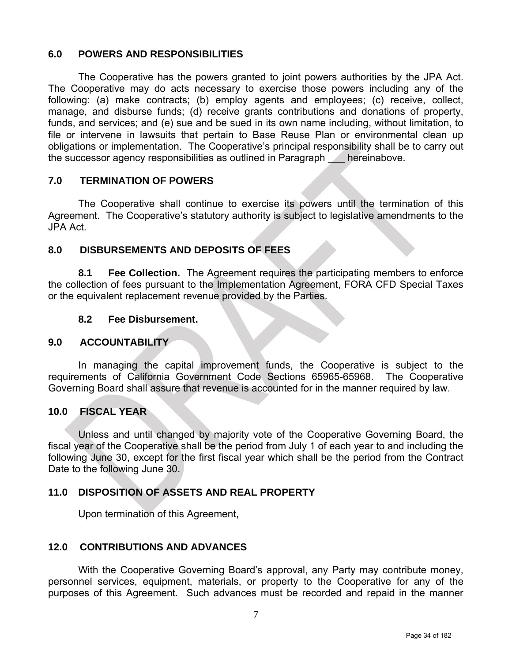#### **6.0 POWERS AND RESPONSIBILITIES**

The Cooperative has the powers granted to joint powers authorities by the JPA Act. The Cooperative may do acts necessary to exercise those powers including any of the following: (a) make contracts; (b) employ agents and employees; (c) receive, collect, manage, and disburse funds; (d) receive grants contributions and donations of property, funds, and services; and (e) sue and be sued in its own name including, without limitation, to file or intervene in lawsuits that pertain to Base Reuse Plan or environmental clean up obligations or implementation. The Cooperative's principal responsibility shall be to carry out the successor agency responsibilities as outlined in Paragraph hereinabove.

### **7.0 TERMINATION OF POWERS**

The Cooperative shall continue to exercise its powers until the termination of this Agreement. The Cooperative's statutory authority is subject to legislative amendments to the JPA Act.

### **8.0 DISBURSEMENTS AND DEPOSITS OF FEES**

**8.1 Fee Collection.** The Agreement requires the participating members to enforce the collection of fees pursuant to the Implementation Agreement, FORA CFD Special Taxes or the equivalent replacement revenue provided by the Parties.

#### **8.2 Fee Disbursement.**

#### **9.0 ACCOUNTABILITY**

In managing the capital improvement funds, the Cooperative is subject to the requirements of California Government Code Sections 65965-65968. The Cooperative Governing Board shall assure that revenue is accounted for in the manner required by law.

### **10.0 FISCAL YEAR**

Unless and until changed by majority vote of the Cooperative Governing Board, the fiscal year of the Cooperative shall be the period from July 1 of each year to and including the following June 30, except for the first fiscal year which shall be the period from the Contract Date to the following June 30.

### **11.0 DISPOSITION OF ASSETS AND REAL PROPERTY**

Upon termination of this Agreement,

#### **12.0 CONTRIBUTIONS AND ADVANCES**

With the Cooperative Governing Board's approval, any Party may contribute money, personnel services, equipment, materials, or property to the Cooperative for any of the purposes of this Agreement. Such advances must be recorded and repaid in the manner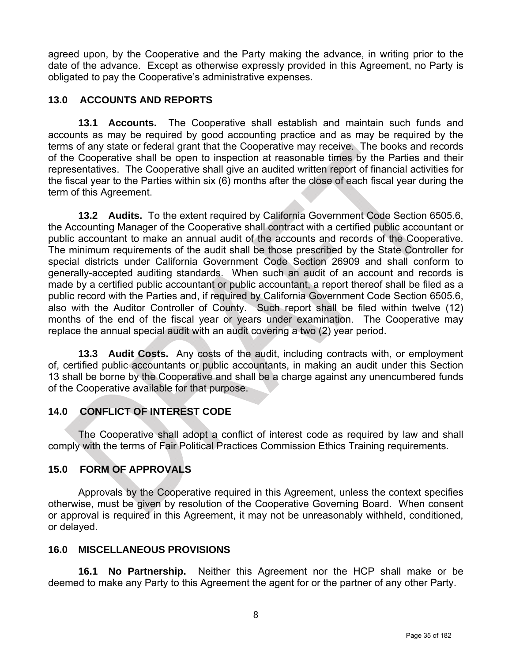agreed upon, by the Cooperative and the Party making the advance, in writing prior to the date of the advance. Except as otherwise expressly provided in this Agreement, no Party is obligated to pay the Cooperative's administrative expenses.

### **13.0 ACCOUNTS AND REPORTS**

**13.1 Accounts.** The Cooperative shall establish and maintain such funds and accounts as may be required by good accounting practice and as may be required by the terms of any state or federal grant that the Cooperative may receive. The books and records of the Cooperative shall be open to inspection at reasonable times by the Parties and their representatives. The Cooperative shall give an audited written report of financial activities for the fiscal year to the Parties within six (6) months after the close of each fiscal year during the term of this Agreement.

**13.2 Audits.** To the extent required by California Government Code Section 6505.6, the Accounting Manager of the Cooperative shall contract with a certified public accountant or public accountant to make an annual audit of the accounts and records of the Cooperative. The minimum requirements of the audit shall be those prescribed by the State Controller for special districts under California Government Code Section 26909 and shall conform to generally-accepted auditing standards. When such an audit of an account and records is made by a certified public accountant or public accountant, a report thereof shall be filed as a public record with the Parties and, if required by California Government Code Section 6505.6, also with the Auditor Controller of County. Such report shall be filed within twelve (12) months of the end of the fiscal year or years under examination. The Cooperative may replace the annual special audit with an audit covering a two (2) year period.

**13.3 Audit Costs.** Any costs of the audit, including contracts with, or employment of, certified public accountants or public accountants, in making an audit under this Section 13 shall be borne by the Cooperative and shall be a charge against any unencumbered funds of the Cooperative available for that purpose.

### **14.0 CONFLICT OF INTEREST CODE**

The Cooperative shall adopt a conflict of interest code as required by law and shall comply with the terms of Fair Political Practices Commission Ethics Training requirements.

### **15.0 FORM OF APPROVALS**

Approvals by the Cooperative required in this Agreement, unless the context specifies otherwise, must be given by resolution of the Cooperative Governing Board. When consent or approval is required in this Agreement, it may not be unreasonably withheld, conditioned, or delayed.

#### **16.0 MISCELLANEOUS PROVISIONS**

**16.1 No Partnership.** Neither this Agreement nor the HCP shall make or be deemed to make any Party to this Agreement the agent for or the partner of any other Party.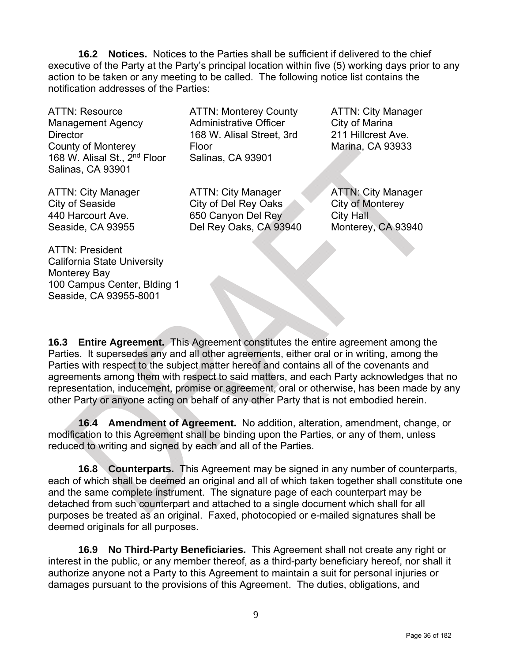**16.2 Notices.** Notices to the Parties shall be sufficient if delivered to the chief executive of the Party at the Party's principal location within five (5) working days prior to any action to be taken or any meeting to be called. The following notice list contains the notification addresses of the Parties:

ATTN: Resource Management Agency **Director** County of Monterey 168 W. Alisal St., 2nd Floor Salinas, CA 93901

ATTN: Monterey County Administrative Officer 168 W. Alisal Street, 3rd Floor Salinas, CA 93901

ATTN: City Manager City of Del Rey Oaks ATTN: City Manager City of Marina 211 Hillcrest Ave. Marina, CA 93933

ATTN: City Manager City of Seaside 440 Harcourt Ave. Seaside, CA 93955

650 Canyon Del Rey Del Rey Oaks, CA 93940

ATTN: City Manager City of Monterey City Hall Monterey, CA 93940

ATTN: President California State University Monterey Bay 100 Campus Center, Blding 1 Seaside, CA 93955-8001

**16.3 Entire Agreement.** This Agreement constitutes the entire agreement among the Parties. It supersedes any and all other agreements, either oral or in writing, among the Parties with respect to the subject matter hereof and contains all of the covenants and agreements among them with respect to said matters, and each Party acknowledges that no representation, inducement, promise or agreement, oral or otherwise, has been made by any other Party or anyone acting on behalf of any other Party that is not embodied herein.

**16.4 Amendment of Agreement.** No addition, alteration, amendment, change, or modification to this Agreement shall be binding upon the Parties, or any of them, unless reduced to writing and signed by each and all of the Parties.

**16.8 Counterparts.** This Agreement may be signed in any number of counterparts, each of which shall be deemed an original and all of which taken together shall constitute one and the same complete instrument. The signature page of each counterpart may be detached from such counterpart and attached to a single document which shall for all purposes be treated as an original. Faxed, photocopied or e-mailed signatures shall be deemed originals for all purposes.

**16.9 No Third-Party Beneficiaries.** This Agreement shall not create any right or interest in the public, or any member thereof, as a third-party beneficiary hereof, nor shall it authorize anyone not a Party to this Agreement to maintain a suit for personal injuries or damages pursuant to the provisions of this Agreement. The duties, obligations, and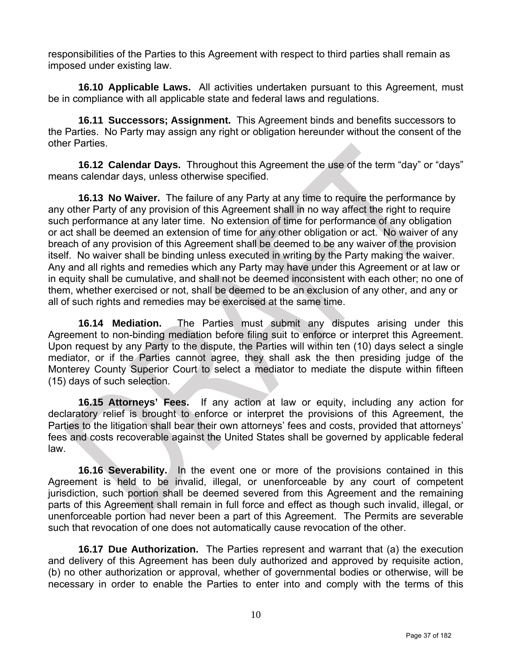responsibilities of the Parties to this Agreement with respect to third parties shall remain as imposed under existing law.

**16.10 Applicable Laws.** All activities undertaken pursuant to this Agreement, must be in compliance with all applicable state and federal laws and regulations.

**16.11 Successors; Assignment.** This Agreement binds and benefits successors to the Parties. No Party may assign any right or obligation hereunder without the consent of the other Parties.

**16.12 Calendar Days.** Throughout this Agreement the use of the term "day" or "days" means calendar days, unless otherwise specified.

**16.13 No Waiver.** The failure of any Party at any time to require the performance by any other Party of any provision of this Agreement shall in no way affect the right to require such performance at any later time. No extension of time for performance of any obligation or act shall be deemed an extension of time for any other obligation or act. No waiver of any breach of any provision of this Agreement shall be deemed to be any waiver of the provision itself. No waiver shall be binding unless executed in writing by the Party making the waiver. Any and all rights and remedies which any Party may have under this Agreement or at law or in equity shall be cumulative, and shall not be deemed inconsistent with each other; no one of them, whether exercised or not, shall be deemed to be an exclusion of any other, and any or all of such rights and remedies may be exercised at the same time.

**16.14 Mediation.** The Parties must submit any disputes arising under this Agreement to non-binding mediation before filing suit to enforce or interpret this Agreement. Upon request by any Party to the dispute, the Parties will within ten (10) days select a single mediator, or if the Parties cannot agree, they shall ask the then presiding judge of the Monterey County Superior Court to select a mediator to mediate the dispute within fifteen (15) days of such selection.

**16.15 Attorneys' Fees.** If any action at law or equity, including any action for declaratory relief is brought to enforce or interpret the provisions of this Agreement, the Parties to the litigation shall bear their own attorneys' fees and costs, provided that attorneys' fees and costs recoverable against the United States shall be governed by applicable federal law.

**16.16 Severability.** In the event one or more of the provisions contained in this Agreement is held to be invalid, illegal, or unenforceable by any court of competent jurisdiction, such portion shall be deemed severed from this Agreement and the remaining parts of this Agreement shall remain in full force and effect as though such invalid, illegal, or unenforceable portion had never been a part of this Agreement. The Permits are severable such that revocation of one does not automatically cause revocation of the other.

**16.17 Due Authorization.** The Parties represent and warrant that (a) the execution and delivery of this Agreement has been duly authorized and approved by requisite action, (b) no other authorization or approval, whether of governmental bodies or otherwise, will be necessary in order to enable the Parties to enter into and comply with the terms of this